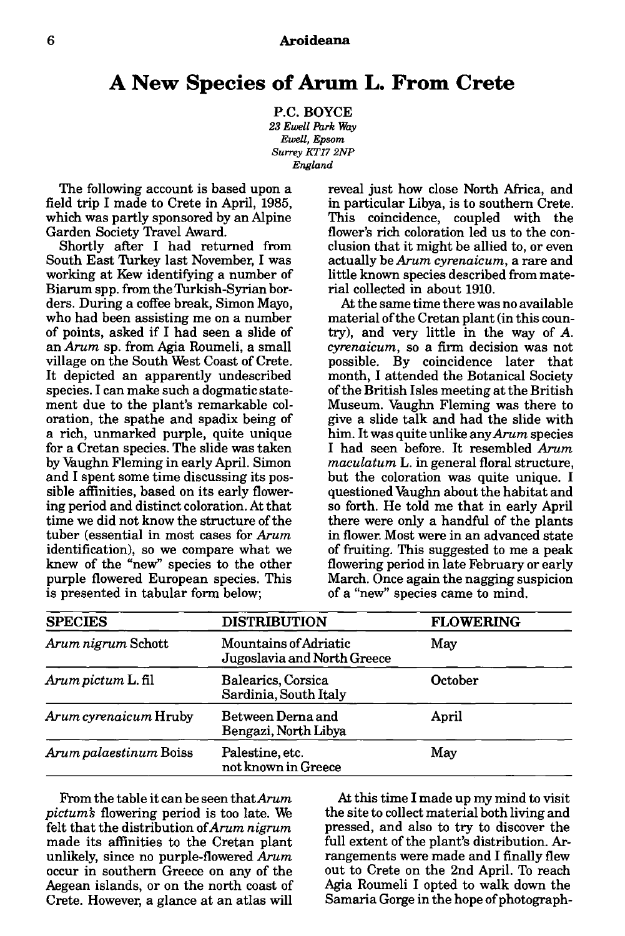## **A New Species of Arum L. From Crete**

P.C. BOYCE *23 Ewell Park Way Ewell, Epsom Surrey KT17 2NP England* 

The following account is based upon a field trip I made to Crete in April, 1985, which was partly sponsored by an Alpine Garden Society Travel Award.

Shortly after I had returned from South East Turkey last November, I was working at Kew identifying a number of Biarum spp. from the Turkish-Syrian borders. During a coffee break, Simon Mayo, who had been assisting me on a number of points, asked if I had seen a slide of an *Arum* sp. from Agia Roumeli, a small village on the South West Coast of Crete. It depicted an apparently undescribed species. I can make such a dogmatic statement due to the plant's remarkable coloration, the spathe and spadix being of a rich, unmarked purple, quite unique for a Cretan species. The slide was taken by Vaughn Fleming in early April. Simon and I spent some time discussing its possible affinities, based on its early flowering period and distinct coloration. At that time we did not know the structure of the tuber (essential in most cases for *Arum*  identification), so we compare what we knew of the "new" species to the other purple flowered European species. This is presented in tabular form below;

reveal just how close North Africa, and in particular Libya, is to southern Crete. This coincidence, coupled with the flower's rich coloration led us to the conclusion that it might be allied to, or even actually be *Arum cyrenaicum,* a rare and little known species described from material collected in about 1910.

At the same time there was no available material of the Cretan plant (in this country), and very little in the way of *A. cyrenaicum,* so a firm decision was not possible. By coincidence later that month, I attended the Botanical Society of the British Isles meeting at the British Museum. Vaughn Fleming was there to give a slide talk and had the slide with him. It was quite unlike any *Arum* species I had seen before. It resembled *Arum maculatum* L. in general floral structure, but the coloration was quite unique. I questioned Vaughn about the habitat and so forth. He told me that in early April there were only a handful of the plants in flower. Most were in an advanced state of fruiting. This suggested to me a peak flowering period in late February or early March. Once again the nagging suspicion of a "new" species came to mind.

| <b>SPECIES</b>         | <b>DISTRIBUTION</b>                                  | <b>FLOWERING</b> |
|------------------------|------------------------------------------------------|------------------|
| Arum nigrum Schott     | Mountains of Adriatic<br>Jugoslavia and North Greece | May              |
| Arum pictum L. fil     | Balearics, Corsica<br>Sardinia, South Italy          | October          |
| Arum cyrenaicum Hruby  | Between Derna and<br>Bengazi, North Libya            | April            |
| Arum palaestinum Boiss | Palestine, etc.<br>not known in Greece               | May              |

From the table it can be seen that *Arum pictum's* flowering period is too late. We felt that the distribution of *Arum nigrum*  made its affinities to the Cretan plant unlikely, since no purple-flowered *Arum*  occur in southern Greece on any of the Aegean islands, or on the north coast of Crete. However, a glance at an atlas will

At this time I made up my mind to visit the site to collect material both living and pressed, and also to try to discover the full extent of the plant's distribution. Arrangements were made and I finally flew out to Crete on the 2nd April. To reach Agia Roumeli I opted to walk down the Samaria Gorge in the hope of photograph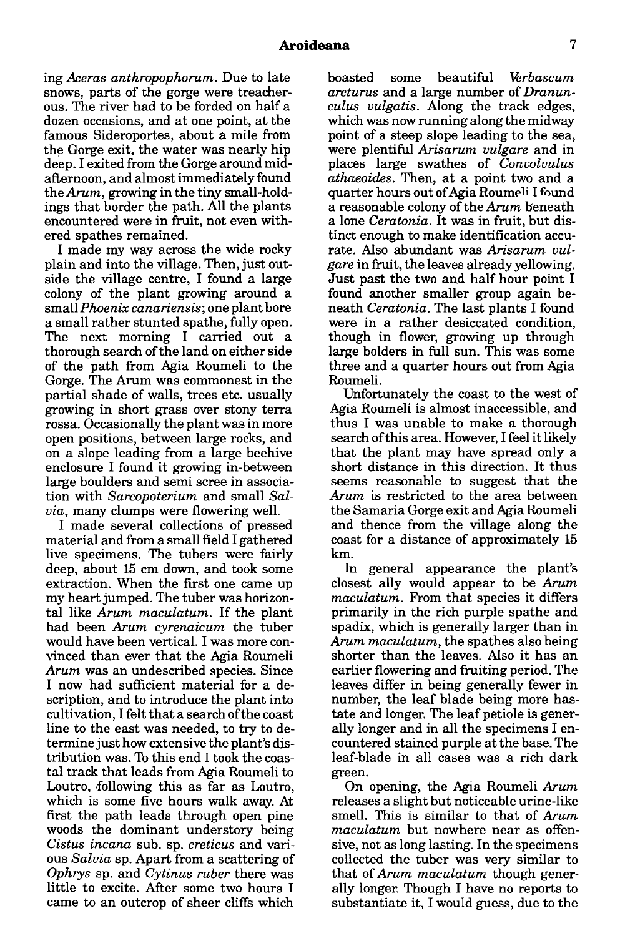ing *Aceros anthropophorum.* Due to late snows, parts of the gorge were treacherous. The river had to be forded on half a dozen occasions, and at one point, at the famous Sideroportes, about a mile from the Gorge exit, the water was nearly hip deep. I exited from the Gorge around midafternoon, and almost immediately found *theArum,* growing in the tiny small-holdings that border the path. All the plants encountered were in fruit, not even withered spathes remained.

I made my way across the wide rocky plain and into the village. Then, just outside the village centre, I found a large colony of the plant growing around a small *Phoenix canariensis;* one plant bore a small rather stunted spathe, fully open. The next morning I carried out a thorough search of the land on either side of the path from Agia Roumeli to the Gorge. The Arum was commonest in the partial shade of walls, trees etc. usually growing in short grass over stony terra rossa. Occasionally the plant was in more open positions, between large rocks, and on a slope leading from a large beehive enclosure I found it growing in-between large boulders and semi scree in association with *Sarcopoterium* and small *Salvia,* many clumps were flowering well.

I made several collections of pressed material and from a small field I gathered live specimens. The tubers were fairly deep, about 15 cm down, and took some extraction. When the first one came up my heart jumped. The tuber was horizontal like *Arum maculatum.* If the plant had been *Arum cyrenaicum* the tuber would have been vertical. I was more convinced than ever that the Agia Roumeli *Arum* was an undescribed species. Since I now had sufficient material for a description, and to introduce the plant into cultivation, I felt that a search of the coast line to the east was needed, to try to determine just how extensive the plant's distribution was. To this end I took the coastal track that leads from Agia Roumeli to Loutro, following this as far as Loutro, which is some five hours walk away. At first the path leads through open pine woods the dominant understory being *Cistus incana* sub. sp. *creticus* and various *Salvia* sp. Apart from a scattering of *Ophrys* sp. and *Cytinus ruber* there was little to excite. After some two hours I came to an outcrop of sheer cliffs which

boasted some beautiful *W!rbascum arcturus* and a large number of *Dronunculus vulgatis.* Along the track edges, which was now running along the midway point of a steep slope leading to the sea, were plentiful *Arisarum vulgare* and in places large swathes of *Convolvulus athaeoides.* Then, at a point two and a quarter hours out of Agia Roumeli I found a reasonable colony of the *Arum* beneath a lone *Cerotonia.* It was in fruit, but distinct enough to make identification accurate. Also abundant was *Arisarum vulgare* in fruit, the leaves already yellowing. Just past the two and half hour point I found another smaller group again beneath *Cerotonia.* The last plants I found were in a rather desiccated condition, though in flower, growing up through large bolders in full sun. This was some three and a quarter hours out from Agia Roumeli.

Unfortunately the coast to the west of Agia Roumeli is almost inaccessible, and thus I was unable to make a thorough search of this area. However, I feel it likely that the plant may have spread only a short distance in this direction. It thus seems reasonable to suggest that the *Arum* is restricted to the area between the Samaria Gorge exit and Agia Roumeli and thence from the village along the coast for a distance of approximately 15 km.

In general appearance the plant's closest ally would appear to be *Arum maculatum.* From that species it differs primarily in the rich purple spathe and spadix, which is generally larger than in *Arum maculatum,* the spathes also being shorter than the leaves. Also it has an earlier flowering and fruiting period. The leaves differ in being generally fewer in number, the leaf blade being more hastate and longer. The leaf petiole is generally longer and in all the specimens I encountered stained purple at the base. The leaf-blade in all cases was a rich dark green.

On opening, the Agia Roumeli *Arum*  releases a slight but noticeable urine-like smell. This is similar to that of *Arum maculatum* but nowhere near as offensive, not as long lasting. In the specimens collected the tuber was very similar to that of *Arum maculatum* though generally longer. Though I have no reports to substantiate it, I would guess, due to the